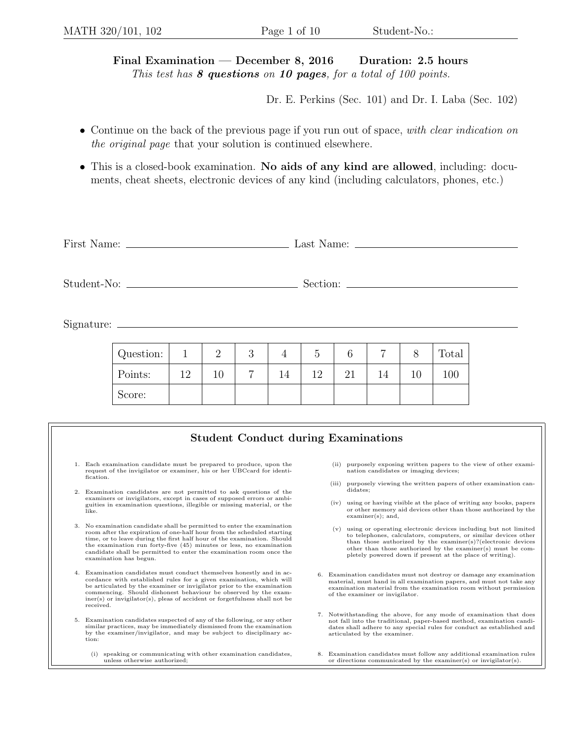Final Examination — December 8, 2016 Duration: 2.5 hours This test has  $8$  questions on 10 pages, for a total of 100 points.

Dr. E. Perkins (Sec. 101) and Dr. I. Laba (Sec. 102)

- Continue on the back of the previous page if you run out of space, with clear indication on the original page that your solution is continued elsewhere.
- This is a closed-book examination. No aids of any kind are allowed, including: documents, cheat sheets, electronic devices of any kind (including calculators, phones, etc.)

| $Signature: \_\_\_\_\_\_\_\_\_$            |           |              |                |             |                |                |    |                |    |       |  |
|--------------------------------------------|-----------|--------------|----------------|-------------|----------------|----------------|----|----------------|----|-------|--|
|                                            | Question: | $\mathbf{1}$ | $\overline{2}$ | 3           | $\overline{4}$ | $\overline{5}$ | 6  | $\overline{7}$ | 8  | Total |  |
|                                            | Points:   | 12           | 10             | $7^{\circ}$ | 14             | 12             | 21 | 14             | 10 | 100   |  |
|                                            | Score:    |              |                |             |                |                |    |                |    |       |  |
|                                            |           |              |                |             |                |                |    |                |    |       |  |
| <b>Student Conduct during Examinations</b> |           |              |                |             |                |                |    |                |    |       |  |

- 1. Each examination candidate must be prepared to produce, upon the request of the invigilator or examiner, his or her UBCcard for identification.
- 2. Examination candidates are not permitted to ask questions of the examiners or invigilators, except in cases of supposed errors or ambiguities in examination questions, illegible or missing material, or the like.
- 3. No examination candidate shall be permitted to enter the examination room after the expiration of one-half hour from the scheduled starting time, or to leave during the first half hour of the examination. Should the examination run forty-five (45) minutes or less, no examination candidate shall be permitted to enter the examination room once the examination has begun.
- 4. Examination candidates must conduct themselves honestly and in accordance with established rules for a given examination, which will be articulated by the examiner or invigilator prior to the examination commencing. Should dishonest behaviour be observed by the examiner(s) or invigilator(s), pleas of accident or forgetfulness shall not be received.
- 5. Examination candidates suspected of any of the following, or any other similar practices, may be immediately dismissed from the examination by the examiner/invigilator, and may be subject to disciplinary action:
	- (i) speaking or communicating with other examination candidates, unless otherwise authorized;
- (ii) purposely exposing written papers to the view of other examination candidates or imaging devices;
- (iii) purposely viewing the written papers of other examination candidates;
- (iv) using or having visible at the place of writing any books, papers or other memory aid devices other than those authorized by the examiner(s); and,
- (v) using or operating electronic devices including but not limited to telephones, calculators, computers, or similar devices other than those authorized by the examiner(s)?(electronic devices other than those authorized by the examiner(s) must be completely powered down if present at the place of writing).
- 6. Examination candidates must not destroy or damage any examination material, must hand in all examination papers, and must not take any examination material from the examination room without permission of the examiner or invigilator.
- 7. Notwithstanding the above, for any mode of examination that does not fall into the traditional, paper-based method, examination candidates shall adhere to any special rules for conduct as established and articulated by the examiner.
- 8. Examination candidates must follow any additional examination rules or directions communicated by the examiner(s) or invigilator(s).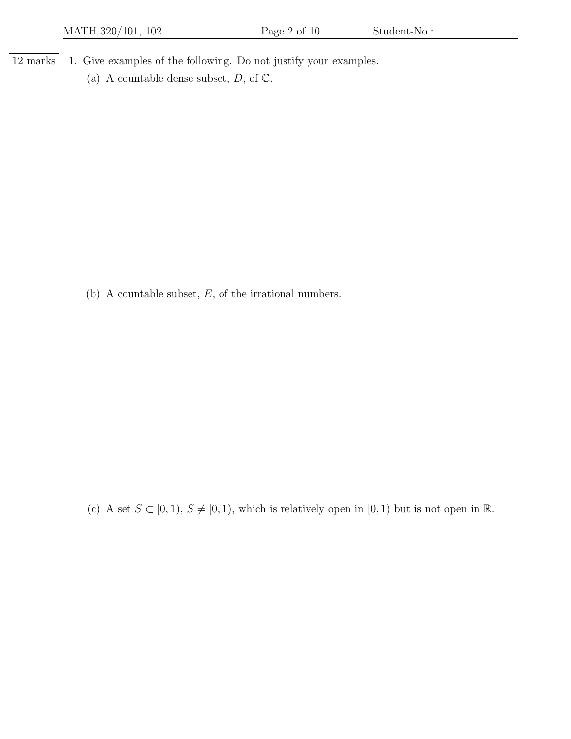- 12 marks 1. Give examples of the following. Do not justify your examples.
	- (a) A countable dense subset,  $D$ , of  $\mathbb{C}$ .

(b) A countable subset,  $E$ , of the irrational numbers.

(c) A set  $S \subset [0, 1), S \neq [0, 1)$ , which is relatively open in  $[0, 1)$  but is not open in  $\mathbb{R}$ .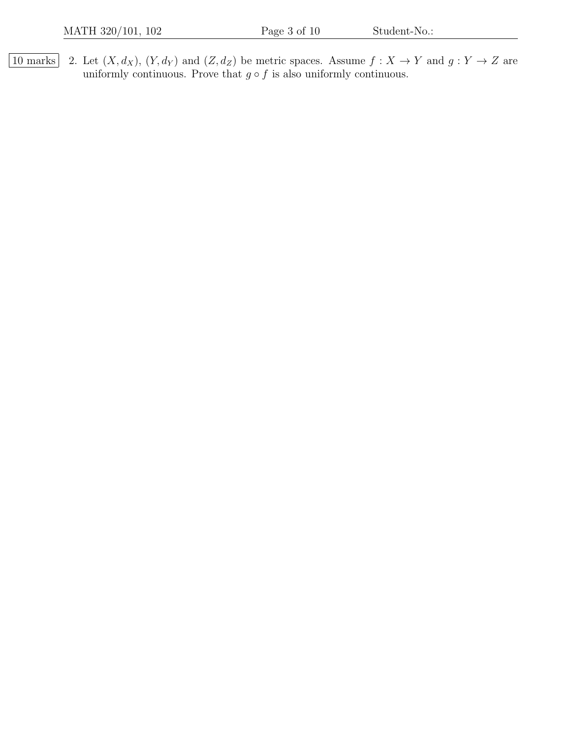10 marks 2. Let  $(X, d_X)$ ,  $(Y, d_Y)$  and  $(Z, d_Z)$  be metric spaces. Assume  $f : X \to Y$  and  $g : Y \to Z$  are uniformly continuous. Prove that  $g \circ f$  is also uniformly continuous.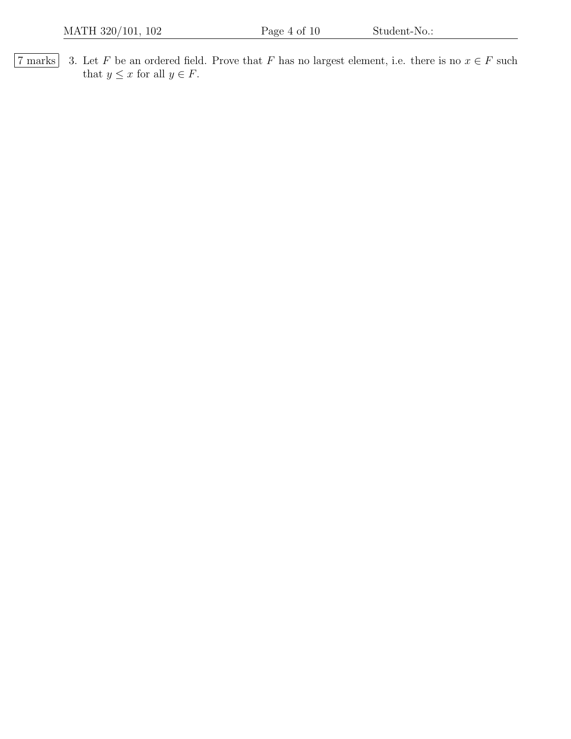$\boxed{7 \text{ marks}}$  3. Let F be an ordered field. Prove that F has no largest element, i.e. there is no  $x \in F$  such that  $y \leq x$  for all  $y \in F$ .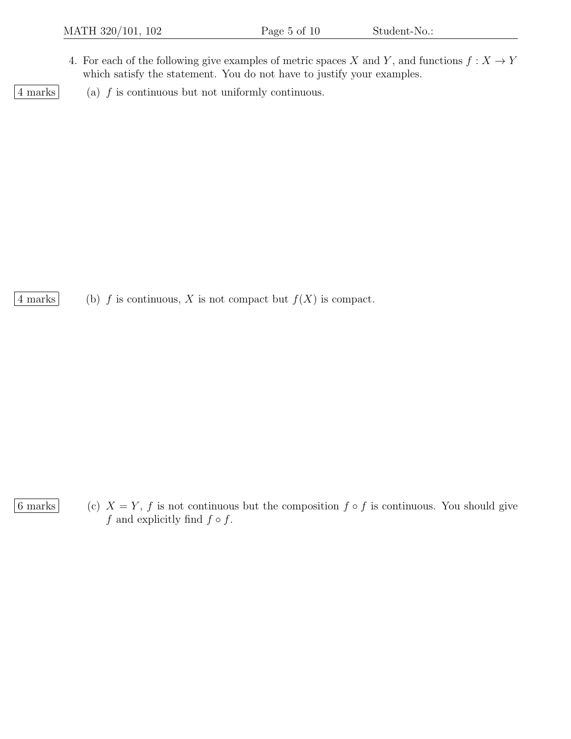- 4. For each of the following give examples of metric spaces X and Y, and functions  $f: X \to Y$ which satisfy the statement. You do not have to justify your examples.
- 4 marks (a) f is continuous but not uniformly continuous.

4 marks (b) f is continuous, X is not compact but  $f(X)$  is compact.

6 marks (c)  $X = Y$ , f is not continuous but the composition  $f \circ f$  is continuous. You should give f and explicitly find  $f \circ f$ .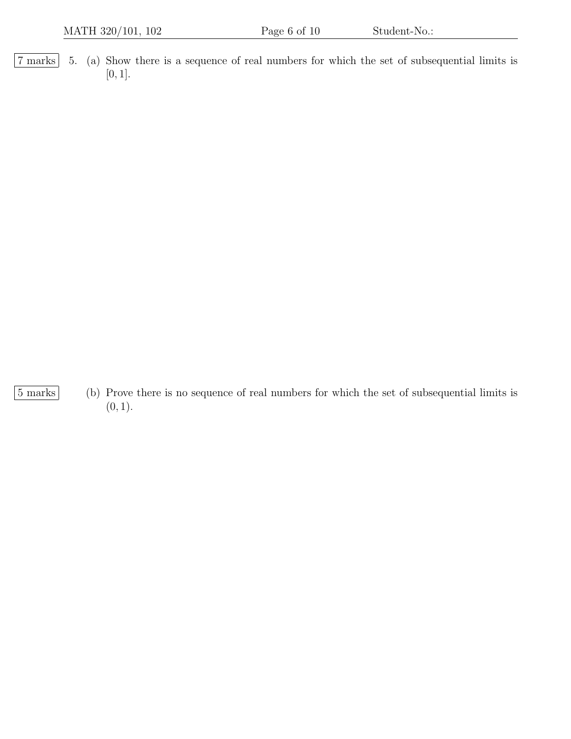7 marks 5. (a) Show there is a sequence of real numbers for which the set of subsequential limits is [0, 1].

- 
- 5 marks (b) Prove there is no sequence of real numbers for which the set of subsequential limits is  $(0, 1).$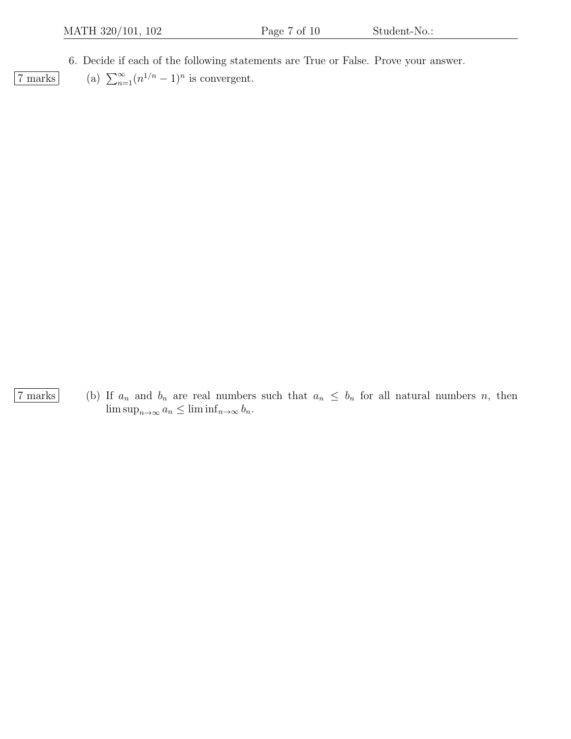6. Decide if each of the following statements are True or False. Prove your answer.

 $\overline{7 \text{ marks}}$  (a)  $\sum_{n=1}^{\infty} (n^{1/n} - 1)^n$  is convergent.

7 marks (b) If  $a_n$  and  $b_n$  are real numbers such that  $a_n \leq b_n$  for all natural numbers n, then  $\limsup_{n\to\infty} a_n \leq \liminf_{n\to\infty} b_n.$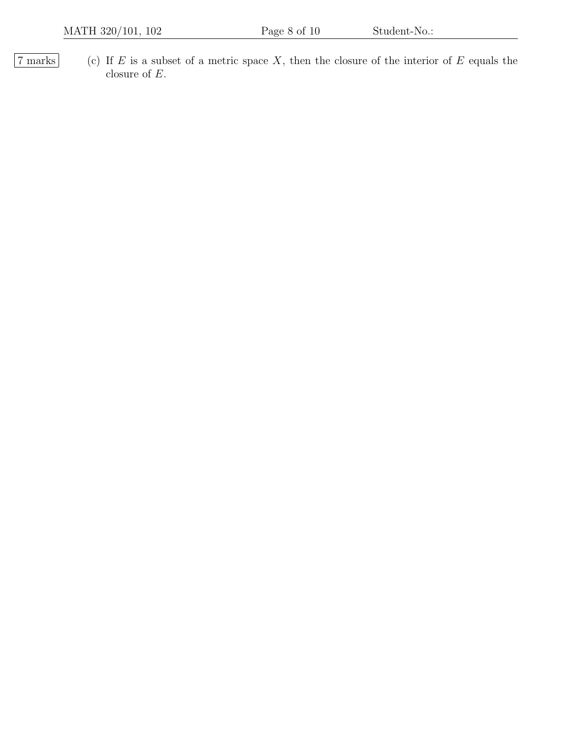$\boxed{7 \text{ marks}}$  (c) If E is a subset of a metric space X, then the closure of the interior of E equals the closure of  $\cal E.$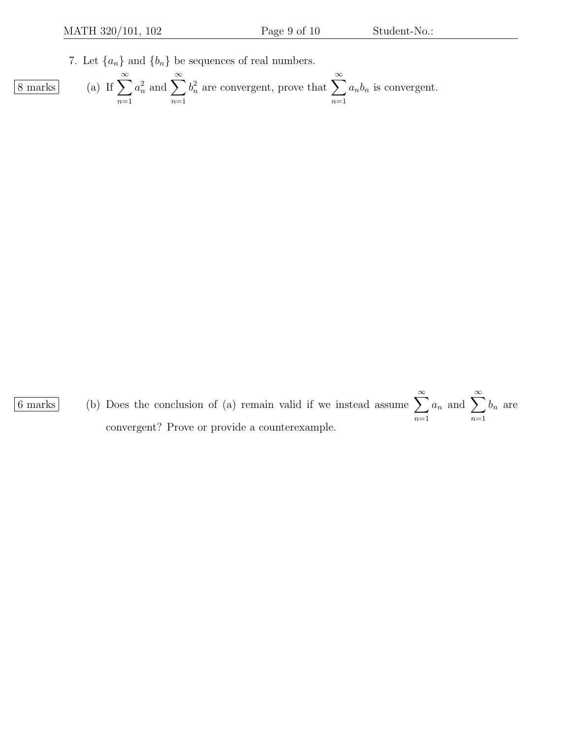7. Let  $\{a_n\}$  and  $\{b_n\}$  be sequences of real numbers.

8 marks (a) If 
$$
\sum_{n=1}^{\infty} a_n^2
$$
 and  $\sum_{n=1}^{\infty} b_n^2$  are convergent, prove that  $\sum_{n=1}^{\infty} a_n b_n$  is convergent.

6 marks (b) Does the conclusion of (a) remain valid if we instead assume  $\sum_{n=0}^{\infty}$  $n=1$  $a_n$  and  $\sum_{n=1}^{\infty}$  $n=1$  $b_n$  are convergent? Prove or provide a counterexample.